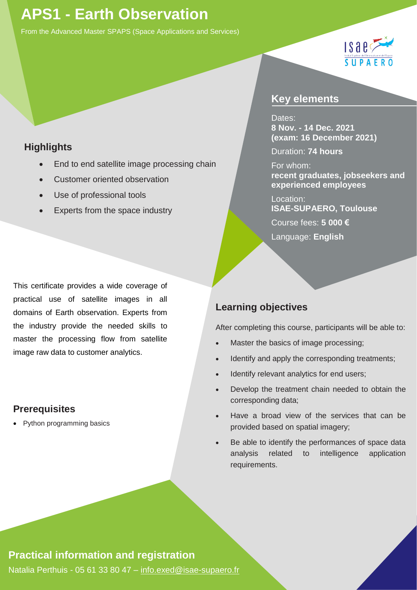# **APS1 - Earth Observation**

From the Advanced Master SPAPS (Space Applications and Services)



### **Highlights**

- End to end satellite image processing chain
- Customer oriented observation
- Use of professional tools
- Experts from the space industry

This certificate provides a wide coverage of practical use of satellite images in all domains of Earth observation. Experts from the industry provide the needed skills to master the processing flow from satellite image raw data to customer analytics.

### **Prerequisites**

• Python programming basics

#### **Key elements**

Dates: **8 Nov. - 14 Dec. 2021 (exam: 16 December 2021)**

Duration: **74 hours**

#### For whom:

**recent graduates, jobseekers and experienced employees**

Location:

**ISAE-SUPAERO, Toulouse** 

Course fees: **5 000 €** 

Language: **English**

### **Learning objectives**

After completing this course, participants will be able to:

- Master the basics of image processing;
- Identify and apply the corresponding treatments;
- Identify relevant analytics for end users;
- Develop the treatment chain needed to obtain the corresponding data;
- Have a broad view of the services that can be provided based on spatial imagery;
- Be able to identify the performances of space data analysis related to intelligence application requirements.

### **Practical information and registration**

Natalia Perthuis - 05 61 33 80 47 – [info.exed@isae-supaero.fr](mailto:info.exed@isae-supaero.fr)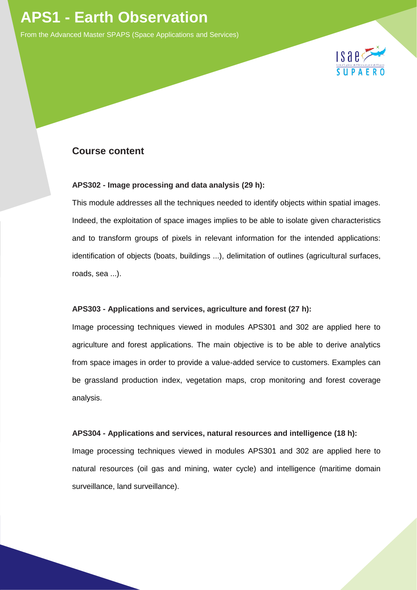# **APS1 - Earth Observation**

From the Advanced Master SPAPS (Space Applications and Services)



#### **Course content**

#### **APS302 - Image processing and data analysis (29 h):**

This module addresses all the techniques needed to identify objects within spatial images. Indeed, the exploitation of space images implies to be able to isolate given characteristics and to transform groups of pixels in relevant information for the intended applications: identification of objects (boats, buildings ...), delimitation of outlines (agricultural surfaces, roads, sea ...).

#### **APS303 - Applications and services, agriculture and forest (27 h):**

Image processing techniques viewed in modules APS301 and 302 are applied here to agriculture and forest applications. The main objective is to be able to derive analytics from space images in order to provide a value-added service to customers. Examples can be grassland production index, vegetation maps, crop monitoring and forest coverage analysis.

#### **APS304 - Applications and services, natural resources and intelligence (18 h):**

Image processing techniques viewed in modules APS301 and 302 are applied here to natural resources (oil gas and mining, water cycle) and intelligence (maritime domain surveillance, land surveillance).